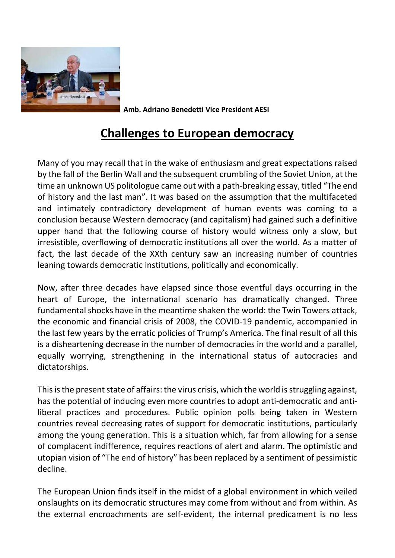

Amb. Adriano Benedetti Vice President AESI

## Challenges to European democracy

Many of you may recall that in the wake of enthusiasm and great expectations raised by the fall of the Berlin Wall and the subsequent crumbling of the Soviet Union, at the time an unknown US politologue came out with a path-breaking essay, titled "The end of history and the last man". It was based on the assumption that the multifaceted and intimately contradictory development of human events was coming to a conclusion because Western democracy (and capitalism) had gained such a definitive upper hand that the following course of history would witness only a slow, but irresistible, overflowing of democratic institutions all over the world. As a matter of fact, the last decade of the XXth century saw an increasing number of countries leaning towards democratic institutions, politically and economically.

Now, after three decades have elapsed since those eventful days occurring in the heart of Europe, the international scenario has dramatically changed. Three fundamental shocks have in the meantime shaken the world: the Twin Towers attack, the economic and financial crisis of 2008, the COVID-19 pandemic, accompanied in the last few years by the erratic policies of Trump's America. The final result of all this is a disheartening decrease in the number of democracies in the world and a parallel, equally worrying, strengthening in the international status of autocracies and dictatorships.

This is the present state of affairs: the virus crisis, which the world is struggling against, has the potential of inducing even more countries to adopt anti-democratic and antiliberal practices and procedures. Public opinion polls being taken in Western countries reveal decreasing rates of support for democratic institutions, particularly among the young generation. This is a situation which, far from allowing for a sense of complacent indifference, requires reactions of alert and alarm. The optimistic and utopian vision of "The end of history" has been replaced by a sentiment of pessimistic decline.

The European Union finds itself in the midst of a global environment in which veiled onslaughts on its democratic structures may come from without and from within. As the external encroachments are self-evident, the internal predicament is no less